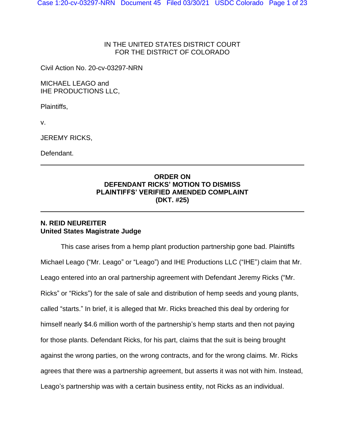# IN THE UNITED STATES DISTRICT COURT FOR THE DISTRICT OF COLORADO

Civil Action No. 20-cv-03297-NRN

MICHAEL LEAGO and IHE PRODUCTIONS LLC,

Plaintiffs,

v.

JEREMY RICKS,

Defendant.

# **ORDER ON DEFENDANT RICKS' MOTION TO DISMISS PLAINTIFFS' VERIFIED AMENDED COMPLAINT (DKT. #25)**

# **N. REID NEUREITER United States Magistrate Judge**

This case arises from a hemp plant production partnership gone bad. Plaintiffs Michael Leago ("Mr. Leago" or "Leago") and IHE Productions LLC ("IHE") claim that Mr. Leago entered into an oral partnership agreement with Defendant Jeremy Ricks ("Mr. Ricks" or "Ricks") for the sale of sale and distribution of hemp seeds and young plants, called "starts." In brief, it is alleged that Mr. Ricks breached this deal by ordering for himself nearly \$4.6 million worth of the partnership's hemp starts and then not paying for those plants. Defendant Ricks, for his part, claims that the suit is being brought against the wrong parties, on the wrong contracts, and for the wrong claims. Mr. Ricks agrees that there was a partnership agreement, but asserts it was not with him. Instead, Leago's partnership was with a certain business entity, not Ricks as an individual.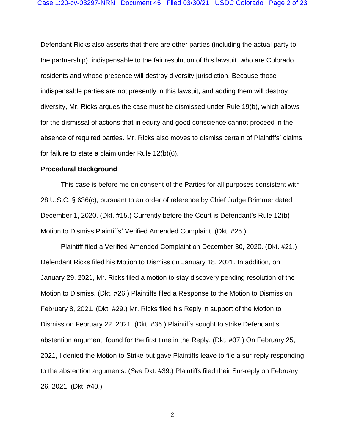Defendant Ricks also asserts that there are other parties (including the actual party to the partnership), indispensable to the fair resolution of this lawsuit, who are Colorado residents and whose presence will destroy diversity jurisdiction. Because those indispensable parties are not presently in this lawsuit, and adding them will destroy diversity, Mr. Ricks argues the case must be dismissed under Rule 19(b), which allows for the dismissal of actions that in equity and good conscience cannot proceed in the absence of required parties. Mr. Ricks also moves to dismiss certain of Plaintiffs' claims for failure to state a claim under Rule 12(b)(6).

#### **Procedural Background**

This case is before me on consent of the Parties for all purposes consistent with 28 U.S.C. § 636(c), pursuant to an order of reference by Chief Judge Brimmer dated December 1, 2020. (Dkt. #15.) Currently before the Court is Defendant's Rule 12(b) Motion to Dismiss Plaintiffs' Verified Amended Complaint. (Dkt. #25.)

Plaintiff filed a Verified Amended Complaint on December 30, 2020. (Dkt. #21.) Defendant Ricks filed his Motion to Dismiss on January 18, 2021. In addition, on January 29, 2021, Mr. Ricks filed a motion to stay discovery pending resolution of the Motion to Dismiss. (Dkt. #26.) Plaintiffs filed a Response to the Motion to Dismiss on February 8, 2021. (Dkt. #29.) Mr. Ricks filed his Reply in support of the Motion to Dismiss on February 22, 2021. (Dkt. #36.) Plaintiffs sought to strike Defendant's abstention argument, found for the first time in the Reply. (Dkt. #37.) On February 25, 2021, I denied the Motion to Strike but gave Plaintiffs leave to file a sur-reply responding to the abstention arguments. (*See* Dkt. #39.) Plaintiffs filed their Sur-reply on February 26, 2021. (Dkt. #40.)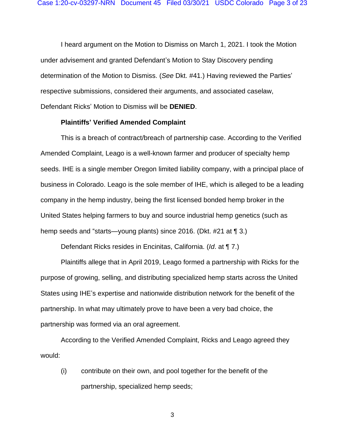I heard argument on the Motion to Dismiss on March 1, 2021. I took the Motion under advisement and granted Defendant's Motion to Stay Discovery pending determination of the Motion to Dismiss. (*See* Dkt. #41.) Having reviewed the Parties' respective submissions, considered their arguments, and associated caselaw, Defendant Ricks' Motion to Dismiss will be **DENIED**.

### **Plaintiffs' Verified Amended Complaint**

This is a breach of contract/breach of partnership case. According to the Verified Amended Complaint, Leago is a well-known farmer and producer of specialty hemp seeds. IHE is a single member Oregon limited liability company, with a principal place of business in Colorado. Leago is the sole member of IHE, which is alleged to be a leading company in the hemp industry, being the first licensed bonded hemp broker in the United States helping farmers to buy and source industrial hemp genetics (such as hemp seeds and "starts—young plants) since 2016. (Dkt. #21 at ¶ 3.)

Defendant Ricks resides in Encinitas, California. (*Id*. at ¶ 7.)

Plaintiffs allege that in April 2019, Leago formed a partnership with Ricks for the purpose of growing, selling, and distributing specialized hemp starts across the United States using IHE's expertise and nationwide distribution network for the benefit of the partnership. In what may ultimately prove to have been a very bad choice, the partnership was formed via an oral agreement.

According to the Verified Amended Complaint, Ricks and Leago agreed they would:

(i) contribute on their own, and pool together for the benefit of the partnership, specialized hemp seeds;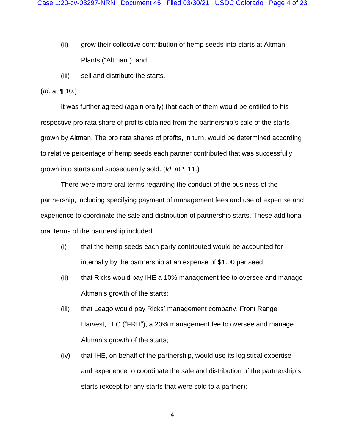- (ii) grow their collective contribution of hemp seeds into starts at Altman Plants ("Altman"); and
- (iii) sell and distribute the starts.

### (*Id*. at ¶ 10.)

It was further agreed (again orally) that each of them would be entitled to his respective pro rata share of profits obtained from the partnership's sale of the starts grown by Altman. The pro rata shares of profits, in turn, would be determined according to relative percentage of hemp seeds each partner contributed that was successfully grown into starts and subsequently sold. (*Id*. at ¶ 11.)

There were more oral terms regarding the conduct of the business of the partnership, including specifying payment of management fees and use of expertise and experience to coordinate the sale and distribution of partnership starts. These additional oral terms of the partnership included:

- (i) that the hemp seeds each party contributed would be accounted for internally by the partnership at an expense of \$1.00 per seed;
- (ii) that Ricks would pay IHE a 10% management fee to oversee and manage Altman's growth of the starts;
- (iii) that Leago would pay Ricks' management company, Front Range Harvest, LLC ("FRH"), a 20% management fee to oversee and manage Altman's growth of the starts;
- (iv) that IHE, on behalf of the partnership, would use its logistical expertise and experience to coordinate the sale and distribution of the partnership's starts (except for any starts that were sold to a partner);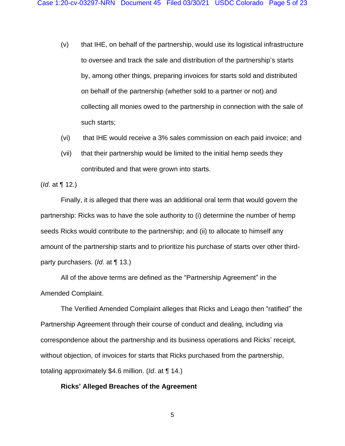- (v) that IHE, on behalf of the partnership, would use its logistical infrastructure to oversee and track the sale and distribution of the partnership's starts by, among other things, preparing invoices for starts sold and distributed on behalf of the partnership (whether sold to a partner or not) and collecting all monies owed to the partnership in connection with the sale of such starts;
- (vi) that IHE would receive a 3% sales commission on each paid invoice; and
- (vii) that their partnership would be limited to the initial hemp seeds they contributed and that were grown into starts.

(*Id*. at ¶ 12.)

Finally, it is alleged that there was an additional oral term that would govern the partnership: Ricks was to have the sole authority to (i) determine the number of hemp seeds Ricks would contribute to the partnership; and (ii) to allocate to himself any amount of the partnership starts and to prioritize his purchase of starts over other thirdparty purchasers. (*Id*. at ¶ 13.)

All of the above terms are defined as the "Partnership Agreement" in the Amended Complaint.

The Verified Amended Complaint alleges that Ricks and Leago then "ratified" the Partnership Agreement through their course of conduct and dealing, including via correspondence about the partnership and its business operations and Ricks' receipt, without objection, of invoices for starts that Ricks purchased from the partnership, totaling approximately \$4.6 million. (*Id*. at ¶ 14.)

### **Ricks' Alleged Breaches of the Agreement**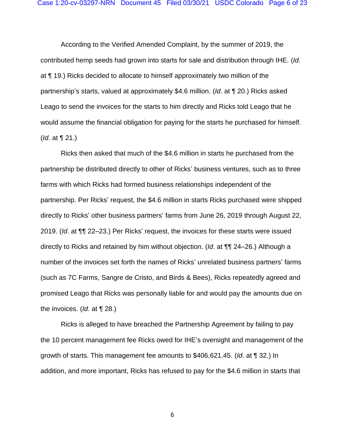According to the Verified Amended Complaint, by the summer of 2019, the contributed hemp seeds had grown into starts for sale and distribution through IHE. (*Id*. at ¶ 19.) Ricks decided to allocate to himself approximately two million of the partnership's starts, valued at approximately \$4.6 million. (*Id*. at ¶ 20.) Ricks asked Leago to send the invoices for the starts to him directly and Ricks told Leago that he would assume the financial obligation for paying for the starts he purchased for himself. (*Id*. at ¶ 21.)

Ricks then asked that much of the \$4.6 million in starts he purchased from the partnership be distributed directly to other of Ricks' business ventures, such as to three farms with which Ricks had formed business relationships independent of the partnership. Per Ricks' request, the \$4.6 million in starts Ricks purchased were shipped directly to Ricks' other business partners' farms from June 26, 2019 through August 22, 2019. (*Id*. at ¶¶ 22–23.) Per Ricks' request, the invoices for these starts were issued directly to Ricks and retained by him without objection. (*Id*. at ¶¶ 24–26.) Although a number of the invoices set forth the names of Ricks' unrelated business partners' farms (such as 7C Farms, Sangre de Cristo, and Birds & Bees), Ricks repeatedly agreed and promised Leago that Ricks was personally liable for and would pay the amounts due on the invoices. (*Id*. at ¶ 28.)

Ricks is alleged to have breached the Partnership Agreement by failing to pay the 10 percent management fee Ricks owed for IHE's oversight and management of the growth of starts. This management fee amounts to \$406,621.45. (*Id*. at ¶ 32.) In addition, and more important, Ricks has refused to pay for the \$4.6 million in starts that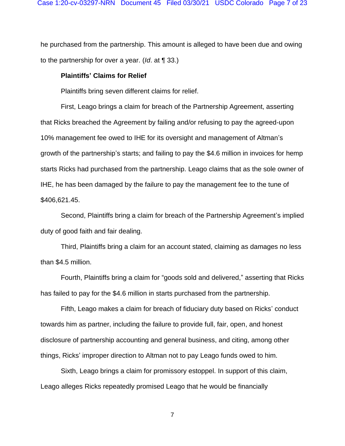he purchased from the partnership. This amount is alleged to have been due and owing to the partnership for over a year. (*Id*. at ¶ 33.)

### **Plaintiffs' Claims for Relief**

Plaintiffs bring seven different claims for relief.

First, Leago brings a claim for breach of the Partnership Agreement, asserting that Ricks breached the Agreement by failing and/or refusing to pay the agreed-upon 10% management fee owed to IHE for its oversight and management of Altman's growth of the partnership's starts; and failing to pay the \$4.6 million in invoices for hemp starts Ricks had purchased from the partnership. Leago claims that as the sole owner of IHE, he has been damaged by the failure to pay the management fee to the tune of \$406,621.45.

Second, Plaintiffs bring a claim for breach of the Partnership Agreement's implied duty of good faith and fair dealing.

Third, Plaintiffs bring a claim for an account stated, claiming as damages no less than \$4.5 million.

Fourth, Plaintiffs bring a claim for "goods sold and delivered," asserting that Ricks has failed to pay for the \$4.6 million in starts purchased from the partnership.

Fifth, Leago makes a claim for breach of fiduciary duty based on Ricks' conduct towards him as partner, including the failure to provide full, fair, open, and honest disclosure of partnership accounting and general business, and citing, among other things, Ricks' improper direction to Altman not to pay Leago funds owed to him.

Sixth, Leago brings a claim for promissory estoppel. In support of this claim, Leago alleges Ricks repeatedly promised Leago that he would be financially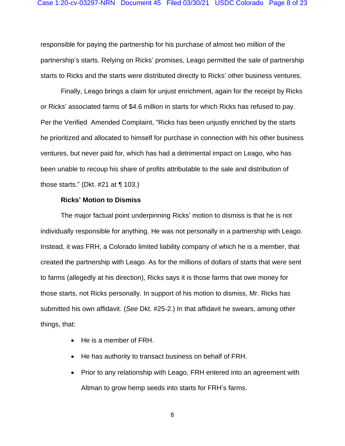responsible for paying the partnership for his purchase of almost two million of the partnership's starts. Relying on Ricks' promises, Leago permitted the sale of partnership starts to Ricks and the starts were distributed directly to Ricks' other business ventures.

Finally, Leago brings a claim for unjust enrichment, again for the receipt by Ricks or Ricks' associated farms of \$4.6 million in starts for which Ricks has refused to pay. Per the Verified Amended Complaint, "Ricks has been unjustly enriched by the starts he prioritized and allocated to himself for purchase in connection with his other business ventures, but never paid for, which has had a detrimental impact on Leago, who has been unable to recoup his share of profits attributable to the sale and distribution of those starts." (Dkt.  $#21$  at  $\P$  103.)

### **Ricks' Motion to Dismiss**

The major factual point underpinning Ricks' motion to dismiss is that he is not individually responsible for anything. He was not personally in a partnership with Leago. Instead, it was FRH, a Colorado limited liability company of which he is a member, that created the partnership with Leago. As for the millions of dollars of starts that were sent to farms (allegedly at his direction), Ricks says it is those farms that owe money for those starts, not Ricks personally. In support of his motion to dismiss, Mr. Ricks has submitted his own affidavit. (*See* Dkt. #25-2.) In that affidavit he swears, among other things, that:

- He is a member of FRH.
- He has authority to transact business on behalf of FRH.
- Prior to any relationship with Leago, FRH entered into an agreement with Altman to grow hemp seeds into starts for FRH's farms.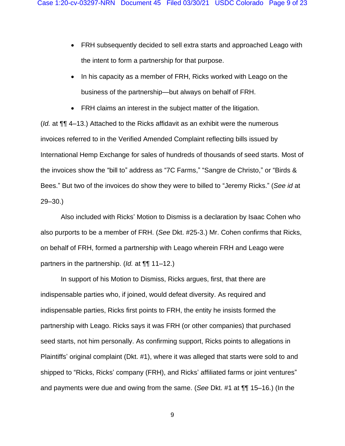- FRH subsequently decided to sell extra starts and approached Leago with the intent to form a partnership for that purpose.
- In his capacity as a member of FRH, Ricks worked with Leago on the business of the partnership—but always on behalf of FRH.
- FRH claims an interest in the subject matter of the litigation.

(*Id.* at ¶¶ 4–13.) Attached to the Ricks affidavit as an exhibit were the numerous invoices referred to in the Verified Amended Complaint reflecting bills issued by International Hemp Exchange for sales of hundreds of thousands of seed starts. Most of the invoices show the "bill to" address as "7C Farms," "Sangre de Christo," or "Birds & Bees." But two of the invoices do show they were to billed to "Jeremy Ricks." (*See id* at 29–30.)

Also included with Ricks' Motion to Dismiss is a declaration by Isaac Cohen who also purports to be a member of FRH. (*See* Dkt. #25-3.) Mr. Cohen confirms that Ricks, on behalf of FRH, formed a partnership with Leago wherein FRH and Leago were partners in the partnership. (*Id.* at ¶¶ 11–12.)

In support of his Motion to Dismiss, Ricks argues, first, that there are indispensable parties who, if joined, would defeat diversity. As required and indispensable parties, Ricks first points to FRH, the entity he insists formed the partnership with Leago. Ricks says it was FRH (or other companies) that purchased seed starts, not him personally. As confirming support, Ricks points to allegations in Plaintiffs' original complaint (Dkt. #1), where it was alleged that starts were sold to and shipped to "Ricks, Ricks' company (FRH), and Ricks' affiliated farms or joint ventures" and payments were due and owing from the same. (*See* Dkt. #1 at ¶¶ 15–16.) (In the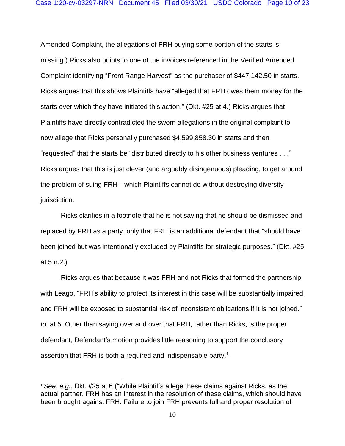Amended Complaint, the allegations of FRH buying some portion of the starts is missing.) Ricks also points to one of the invoices referenced in the Verified Amended Complaint identifying "Front Range Harvest" as the purchaser of \$447,142.50 in starts. Ricks argues that this shows Plaintiffs have "alleged that FRH owes them money for the starts over which they have initiated this action." (Dkt. #25 at 4.) Ricks argues that Plaintiffs have directly contradicted the sworn allegations in the original complaint to now allege that Ricks personally purchased \$4,599,858.30 in starts and then "requested" that the starts be "distributed directly to his other business ventures . . ." Ricks argues that this is just clever (and arguably disingenuous) pleading, to get around the problem of suing FRH—which Plaintiffs cannot do without destroying diversity jurisdiction.

Ricks clarifies in a footnote that he is not saying that he should be dismissed and replaced by FRH as a party, only that FRH is an additional defendant that "should have been joined but was intentionally excluded by Plaintiffs for strategic purposes." (Dkt. #25 at 5 n.2.)

Ricks argues that because it was FRH and not Ricks that formed the partnership with Leago, "FRH's ability to protect its interest in this case will be substantially impaired and FRH will be exposed to substantial risk of inconsistent obligations if it is not joined." *Id*. at 5. Other than saying over and over that FRH, rather than Ricks, is the proper defendant, Defendant's motion provides little reasoning to support the conclusory assertion that FRH is both a required and indispensable party.<sup>1</sup>

<sup>1</sup> *See*, *e.g.*, Dkt. #25 at 6 ("While Plaintiffs allege these claims against Ricks, as the actual partner, FRH has an interest in the resolution of these claims, which should have been brought against FRH. Failure to join FRH prevents full and proper resolution of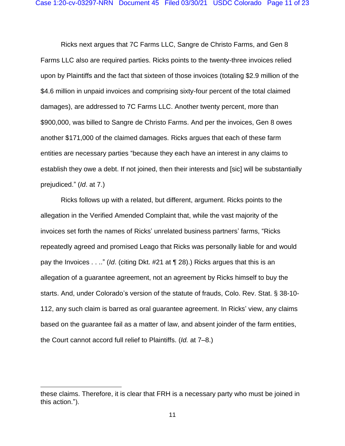Ricks next argues that 7C Farms LLC, Sangre de Christo Farms, and Gen 8 Farms LLC also are required parties. Ricks points to the twenty-three invoices relied upon by Plaintiffs and the fact that sixteen of those invoices (totaling \$2.9 million of the \$4.6 million in unpaid invoices and comprising sixty-four percent of the total claimed damages), are addressed to 7C Farms LLC. Another twenty percent, more than \$900,000, was billed to Sangre de Christo Farms. And per the invoices, Gen 8 owes another \$171,000 of the claimed damages. Ricks argues that each of these farm entities are necessary parties "because they each have an interest in any claims to establish they owe a debt. If not joined, then their interests and [sic] will be substantially prejudiced." (*Id*. at 7.)

Ricks follows up with a related, but different, argument. Ricks points to the allegation in the Verified Amended Complaint that, while the vast majority of the invoices set forth the names of Ricks' unrelated business partners' farms, "Ricks repeatedly agreed and promised Leago that Ricks was personally liable for and would pay the Invoices . . .." (*Id*. (citing Dkt. #21 at ¶ 28).) Ricks argues that this is an allegation of a guarantee agreement, not an agreement by Ricks himself to buy the starts. And, under Colorado's version of the statute of frauds, Colo. Rev. Stat. § 38-10- 112, any such claim is barred as oral guarantee agreement. In Ricks' view, any claims based on the guarantee fail as a matter of law, and absent joinder of the farm entities, the Court cannot accord full relief to Plaintiffs. (*Id.* at 7–8.)

these claims. Therefore, it is clear that FRH is a necessary party who must be joined in this action.").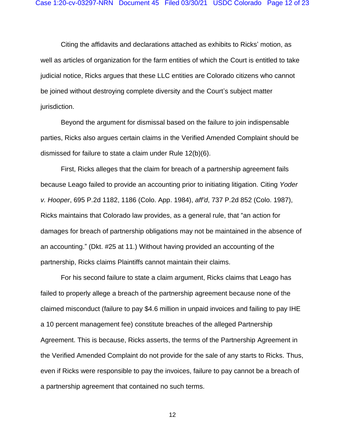Citing the affidavits and declarations attached as exhibits to Ricks' motion, as well as articles of organization for the farm entities of which the Court is entitled to take judicial notice, Ricks argues that these LLC entities are Colorado citizens who cannot be joined without destroying complete diversity and the Court's subject matter jurisdiction.

Beyond the argument for dismissal based on the failure to join indispensable parties, Ricks also argues certain claims in the Verified Amended Complaint should be dismissed for failure to state a claim under Rule 12(b)(6).

First, Ricks alleges that the claim for breach of a partnership agreement fails because Leago failed to provide an accounting prior to initiating litigation. Citing *Yoder v. Hooper*, 695 P.2d 1182, 1186 (Colo. App. 1984), *aff'd*, 737 P.2d 852 (Colo. 1987), Ricks maintains that Colorado law provides, as a general rule, that "an action for damages for breach of partnership obligations may not be maintained in the absence of an accounting." (Dkt. #25 at 11.) Without having provided an accounting of the partnership, Ricks claims Plaintiffs cannot maintain their claims.

For his second failure to state a claim argument, Ricks claims that Leago has failed to properly allege a breach of the partnership agreement because none of the claimed misconduct (failure to pay \$4.6 million in unpaid invoices and failing to pay IHE a 10 percent management fee) constitute breaches of the alleged Partnership Agreement. This is because, Ricks asserts, the terms of the Partnership Agreement in the Verified Amended Complaint do not provide for the sale of any starts to Ricks. Thus, even if Ricks were responsible to pay the invoices, failure to pay cannot be a breach of a partnership agreement that contained no such terms.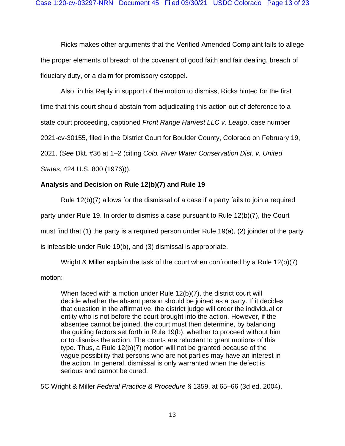Ricks makes other arguments that the Verified Amended Complaint fails to allege the proper elements of breach of the covenant of good faith and fair dealing, breach of fiduciary duty, or a claim for promissory estoppel.

Also, in his Reply in support of the motion to dismiss, Ricks hinted for the first time that this court should abstain from adjudicating this action out of deference to a state court proceeding, captioned *Front Range Harvest LLC v. Leago*, case number 2021-cv-30155, filed in the District Court for Boulder County, Colorado on February 19, 2021. (*See* Dkt. #36 at 1–2 (citing *Colo. River Water Conservation Dist. v. United*

*States*, 424 U.S. 800 (1976))).

# **Analysis and Decision on Rule 12(b)(7) and Rule 19**

Rule 12(b)(7) allows for the dismissal of a case if a party fails to join a required party under Rule 19. In order to dismiss a case pursuant to Rule 12(b)(7), the Court must find that (1) the party is a required person under Rule 19(a), (2) joinder of the party is infeasible under Rule 19(b), and (3) dismissal is appropriate.

Wright & Miller explain the task of the court when confronted by a Rule 12(b)(7) motion:

When faced with a motion under Rule 12(b)(7), the district court will decide whether the absent person should be joined as a party. If it decides that question in the affirmative, the district judge will order the individual or entity who is not before the court brought into the action. However, if the absentee cannot be joined, the court must then determine, by balancing the guiding factors set forth in Rule 19(b), whether to proceed without him or to dismiss the action. The courts are reluctant to grant motions of this type. Thus, a Rule 12(b)(7) motion will not be granted because of the vague possibility that persons who are not parties may have an interest in the action. In general, dismissal is only warranted when the defect is serious and cannot be cured.

5C Wright & Miller *Federal Practice & Procedure* § 1359, at 65–66 (3d ed. 2004).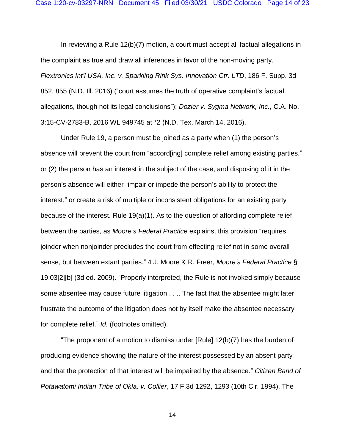In reviewing a Rule 12(b)(7) motion, a court must accept all factual allegations in the complaint as true and draw all inferences in favor of the non-moving party. *Flextronics Int'l USA, Inc. v. Sparkling Rink Sys. Innovation Ctr. LTD*, 186 F. Supp. 3d 852, 855 (N.D. Ill. 2016) ("court assumes the truth of operative complaint's factual allegations, though not its legal conclusions"); *Dozier v. Sygma Network, Inc.*, C.A. No. 3:15-CV-2783-B, 2016 WL 949745 at \*2 (N.D. Tex. March 14, 2016).

Under Rule 19, a person must be joined as a party when (1) the person's absence will prevent the court from "accord[ing] complete relief among existing parties," or (2) the person has an interest in the subject of the case, and disposing of it in the person's absence will either "impair or impede the person's ability to protect the interest," or create a risk of multiple or inconsistent obligations for an existing party because of the interest. Rule 19(a)(1). As to the question of affording complete relief between the parties, as *Moore's Federal Practice* explains, this provision "requires joinder when nonjoinder precludes the court from effecting relief not in some overall sense, but between extant parties." 4 J. Moore & R. Freer, *Moore's Federal Practice* § 19.03[2][b] (3d ed. 2009). "Properly interpreted, the Rule is not invoked simply because some absentee may cause future litigation . . .. The fact that the absentee might later frustrate the outcome of the litigation does not by itself make the absentee necessary for complete relief." *Id.* (footnotes omitted).

"The proponent of a motion to dismiss under [Rule] 12(b)(7) has the burden of producing evidence showing the nature of the interest possessed by an absent party and that the protection of that interest will be impaired by the absence." *Citizen Band of Potawatomi Indian Tribe of Okla. v. Collier*, 17 F.3d 1292, 1293 (10th Cir. 1994). The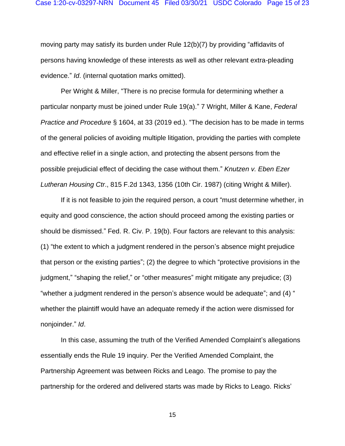moving party may satisfy its burden under Rule 12(b)(7) by providing "affidavits of persons having knowledge of these interests as well as other relevant extra-pleading evidence." *Id*. (internal quotation marks omitted).

Per Wright & Miller, "There is no precise formula for determining whether a particular nonparty must be joined under Rule 19(a)." 7 Wright, Miller & Kane, *Federal Practice and Procedure* § 1604, at 33 (2019 ed.). "The decision has to be made in terms of the general policies of avoiding multiple litigation, providing the parties with complete and effective relief in a single action, and protecting the absent persons from the possible prejudicial effect of deciding the case without them." *Knutzen v. Eben Ezer Lutheran Housing Ctr*., 815 F.2d 1343, 1356 (10th Cir. 1987) (citing Wright & Miller).

If it is not feasible to join the required person, a court "must determine whether, in equity and good conscience, the action should proceed among the existing parties or should be dismissed." Fed. R. Civ. P. 19(b). Four factors are relevant to this analysis: (1) "the extent to which a judgment rendered in the person's absence might prejudice that person or the existing parties"; (2) the degree to which "protective provisions in the judgment," "shaping the relief," or "other measures" might mitigate any prejudice; (3) "whether a judgment rendered in the person's absence would be adequate"; and (4) " whether the plaintiff would have an adequate remedy if the action were dismissed for nonjoinder." *Id*.

In this case, assuming the truth of the Verified Amended Complaint's allegations essentially ends the Rule 19 inquiry. Per the Verified Amended Complaint, the Partnership Agreement was between Ricks and Leago. The promise to pay the partnership for the ordered and delivered starts was made by Ricks to Leago. Ricks'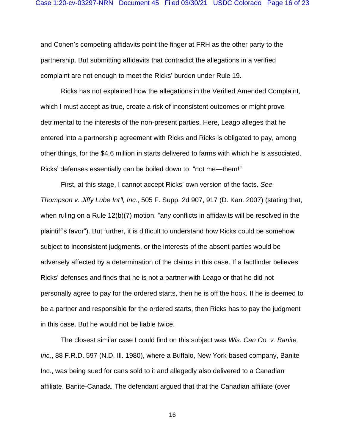and Cohen's competing affidavits point the finger at FRH as the other party to the partnership. But submitting affidavits that contradict the allegations in a verified complaint are not enough to meet the Ricks' burden under Rule 19.

Ricks has not explained how the allegations in the Verified Amended Complaint, which I must accept as true, create a risk of inconsistent outcomes or might prove detrimental to the interests of the non-present parties. Here, Leago alleges that he entered into a partnership agreement with Ricks and Ricks is obligated to pay, among other things, for the \$4.6 million in starts delivered to farms with which he is associated. Ricks' defenses essentially can be boiled down to: "not me—them!"

First, at this stage, I cannot accept Ricks' own version of the facts. *See Thompson v. Jiffy Lube Int'l, Inc.*, 505 F. Supp. 2d 907, 917 (D. Kan. 2007) (stating that, when ruling on a Rule 12(b)(7) motion, "any conflicts in affidavits will be resolved in the plaintiff's favor"). But further, it is difficult to understand how Ricks could be somehow subject to inconsistent judgments, or the interests of the absent parties would be adversely affected by a determination of the claims in this case. If a factfinder believes Ricks' defenses and finds that he is not a partner with Leago or that he did not personally agree to pay for the ordered starts, then he is off the hook. If he is deemed to be a partner and responsible for the ordered starts, then Ricks has to pay the judgment in this case. But he would not be liable twice.

The closest similar case I could find on this subject was *Wis. Can Co. v. Banite, Inc.*, 88 F.R.D. 597 (N.D. Ill. 1980), where a Buffalo, New York-based company, Banite Inc., was being sued for cans sold to it and allegedly also delivered to a Canadian affiliate, Banite-Canada. The defendant argued that that the Canadian affiliate (over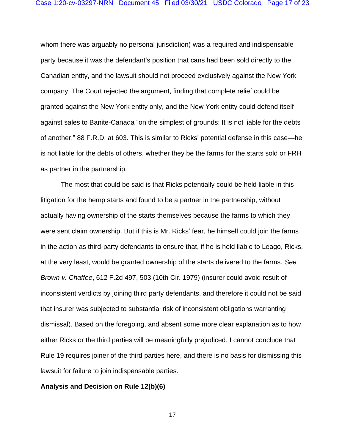whom there was arguably no personal jurisdiction) was a required and indispensable party because it was the defendant's position that cans had been sold directly to the Canadian entity, and the lawsuit should not proceed exclusively against the New York company. The Court rejected the argument, finding that complete relief could be granted against the New York entity only, and the New York entity could defend itself against sales to Banite-Canada "on the simplest of grounds: It is not liable for the debts of another." 88 F.R.D. at 603. This is similar to Ricks' potential defense in this case—he is not liable for the debts of others, whether they be the farms for the starts sold or FRH as partner in the partnership.

The most that could be said is that Ricks potentially could be held liable in this litigation for the hemp starts and found to be a partner in the partnership, without actually having ownership of the starts themselves because the farms to which they were sent claim ownership. But if this is Mr. Ricks' fear, he himself could join the farms in the action as third-party defendants to ensure that, if he is held liable to Leago, Ricks, at the very least, would be granted ownership of the starts delivered to the farms. *See Brown v. Chaffee*, 612 F.2d 497, 503 (10th Cir. 1979) (insurer could avoid result of inconsistent verdicts by joining third party defendants, and therefore it could not be said that insurer was subjected to substantial risk of inconsistent obligations warranting dismissal). Based on the foregoing, and absent some more clear explanation as to how either Ricks or the third parties will be meaningfully prejudiced, I cannot conclude that Rule 19 requires joiner of the third parties here, and there is no basis for dismissing this lawsuit for failure to join indispensable parties.

#### **Analysis and Decision on Rule 12(b)(6)**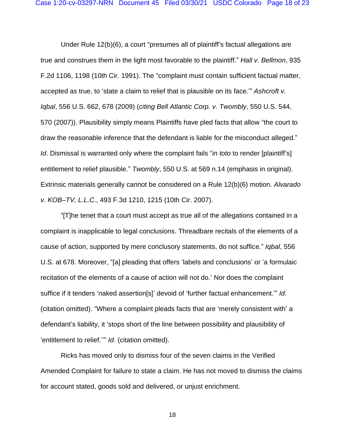Under Rule 12(b)(6), a court "presumes all of plaintiff's factual allegations are true and construes them in the light most favorable to the plaintiff." *Hall v. Bellmon*, 935 F.2d 1106, 1198 (10th Cir. 1991). The "complaint must contain sufficient factual matter, accepted as true, to 'state a claim to relief that is plausible on its face.'" *Ashcroft v. Iqbal*, 556 U.S. 662, 678 (2009) (*citing Bell Atlantic Corp. v. Twombly*, 550 U.S. 544, 570 (2007)). Plausibility simply means Plaintiffs have pled facts that allow "the court to draw the reasonable inference that the defendant is liable for the misconduct alleged." *Id*. Dismissal is warranted only where the complaint fails "*in toto* to render [plaintiff's] entitlement to relief plausible." *Twombly*, 550 U.S. at 569 n.14 (emphasis in original). Extrinsic materials generally cannot be considered on a Rule 12(b)(6) motion. *Alvarado v. KOB–TV, L.L.C.*, 493 F.3d 1210, 1215 (10th Cir. 2007).

"[T]he tenet that a court must accept as true all of the allegations contained in a complaint is inapplicable to legal conclusions. Threadbare recitals of the elements of a cause of action, supported by mere conclusory statements, do not suffice." *Iqbal*, 556 U.S. at 678. Moreover, "[a] pleading that offers 'labels and conclusions' or 'a formulaic recitation of the elements of a cause of action will not do.' Nor does the complaint suffice if it tenders 'naked assertion[s]' devoid of 'further factual enhancement.'" *Id*. (citation omitted). "Where a complaint pleads facts that are 'merely consistent with' a defendant's liability, it 'stops short of the line between possibility and plausibility of 'entitlement to relief.''" *Id*. (citation omitted).

Ricks has moved only to dismiss four of the seven claims in the Verified Amended Complaint for failure to state a claim. He has not moved to dismiss the claims for account stated, goods sold and delivered, or unjust enrichment.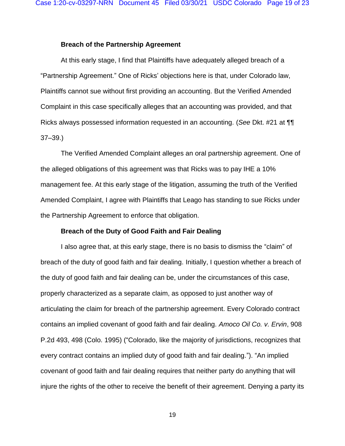### **Breach of the Partnership Agreement**

At this early stage, I find that Plaintiffs have adequately alleged breach of a "Partnership Agreement." One of Ricks' objections here is that, under Colorado law, Plaintiffs cannot sue without first providing an accounting. But the Verified Amended Complaint in this case specifically alleges that an accounting was provided, and that Ricks always possessed information requested in an accounting. (*See* Dkt. #21 at ¶¶ 37–39.)

The Verified Amended Complaint alleges an oral partnership agreement. One of the alleged obligations of this agreement was that Ricks was to pay IHE a 10% management fee. At this early stage of the litigation, assuming the truth of the Verified Amended Complaint, I agree with Plaintiffs that Leago has standing to sue Ricks under the Partnership Agreement to enforce that obligation.

### **Breach of the Duty of Good Faith and Fair Dealing**

I also agree that, at this early stage, there is no basis to dismiss the "claim" of breach of the duty of good faith and fair dealing. Initially, I question whether a breach of the duty of good faith and fair dealing can be, under the circumstances of this case, properly characterized as a separate claim, as opposed to just another way of articulating the claim for breach of the partnership agreement. Every Colorado contract contains an implied covenant of good faith and fair dealing. *Amoco Oil Co. v. Ervin*, 908 P.2d 493, 498 (Colo. 1995) ("Colorado, like the majority of jurisdictions, recognizes that every contract contains an implied duty of good faith and fair dealing."). "An implied covenant of good faith and fair dealing requires that neither party do anything that will injure the rights of the other to receive the benefit of their agreement. Denying a party its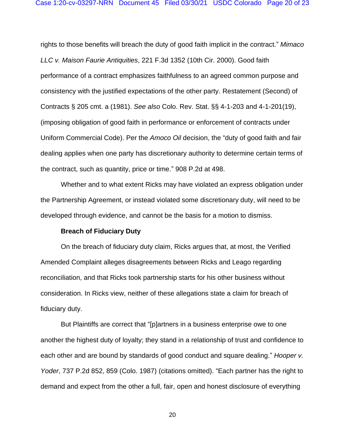rights to those benefits will breach the duty of good faith implicit in the contract." *Mimaco LLC v. Maison Faurie Antiquities*, 221 F.3d 1352 (10th Cir. 2000). Good faith performance of a contract emphasizes faithfulness to an agreed common purpose and consistency with the justified expectations of the other party. Restatement (Second) of Contracts § 205 cmt. a (1981). *See also* Colo. Rev. Stat. §§ 4-1-203 and 4-1-201(19), (imposing obligation of good faith in performance or enforcement of contracts under Uniform Commercial Code). Per the *Amoco Oil* decision, the "duty of good faith and fair dealing applies when one party has discretionary authority to determine certain terms of the contract, such as quantity, price or time." 908 P.2d at 498.

Whether and to what extent Ricks may have violated an express obligation under the Partnership Agreement, or instead violated some discretionary duty, will need to be developed through evidence, and cannot be the basis for a motion to dismiss.

### **Breach of Fiduciary Duty**

On the breach of fiduciary duty claim, Ricks argues that, at most, the Verified Amended Complaint alleges disagreements between Ricks and Leago regarding reconciliation, and that Ricks took partnership starts for his other business without consideration. In Ricks view, neither of these allegations state a claim for breach of fiduciary duty.

But Plaintiffs are correct that "[p]artners in a business enterprise owe to one another the highest duty of loyalty; they stand in a relationship of trust and confidence to each other and are bound by standards of good conduct and square dealing." *Hooper v. Yoder*, 737 P.2d 852, 859 (Colo. 1987) (citations omitted). "Each partner has the right to demand and expect from the other a full, fair, open and honest disclosure of everything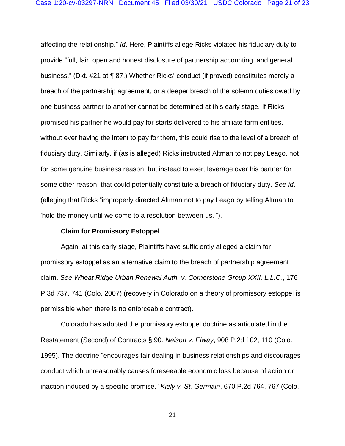affecting the relationship." *Id*. Here, Plaintiffs allege Ricks violated his fiduciary duty to provide "full, fair, open and honest disclosure of partnership accounting, and general business." (Dkt. #21 at ¶ 87.) Whether Ricks' conduct (if proved) constitutes merely a breach of the partnership agreement, or a deeper breach of the solemn duties owed by one business partner to another cannot be determined at this early stage. If Ricks promised his partner he would pay for starts delivered to his affiliate farm entities, without ever having the intent to pay for them, this could rise to the level of a breach of fiduciary duty. Similarly, if (as is alleged) Ricks instructed Altman to not pay Leago, not for some genuine business reason, but instead to exert leverage over his partner for some other reason, that could potentially constitute a breach of fiduciary duty. *See id*. (alleging that Ricks "improperly directed Altman not to pay Leago by telling Altman to 'hold the money until we come to a resolution between us.'").

#### **Claim for Promissory Estoppel**

Again, at this early stage, Plaintiffs have sufficiently alleged a claim for promissory estoppel as an alternative claim to the breach of partnership agreement claim. *See Wheat Ridge Urban Renewal Auth. v. Cornerstone Group XXII, L.L.C.*, 176 P.3d 737, 741 (Colo. 2007) (recovery in Colorado on a theory of promissory estoppel is permissible when there is no enforceable contract).

Colorado has adopted the promissory estoppel doctrine as articulated in the Restatement (Second) of Contracts § 90. *Nelson v. Elway*, 908 P.2d 102, 110 (Colo. 1995). The doctrine "encourages fair dealing in business relationships and discourages conduct which unreasonably causes foreseeable economic loss because of action or inaction induced by a specific promise." *Kiely v. St. Germain*, 670 P.2d 764, 767 (Colo.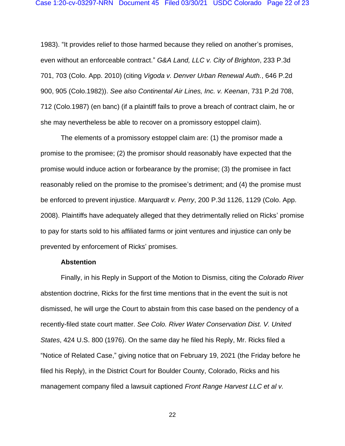1983). "It provides relief to those harmed because they relied on another's promises, even without an enforceable contract." *G&A Land, LLC v. City of Brighton*, 233 P.3d 701, 703 (Colo. App. 2010) (citing *Vigoda v. Denver Urban Renewal Auth.*, 646 P.2d 900, 905 (Colo.1982)). *See also Continental Air Lines, Inc. v. Keenan*, 731 P.2d 708, 712 (Colo.1987) (en banc) (if a plaintiff fails to prove a breach of contract claim, he or she may nevertheless be able to recover on a promissory estoppel claim).

The elements of a promissory estoppel claim are: (1) the promisor made a promise to the promisee; (2) the promisor should reasonably have expected that the promise would induce action or forbearance by the promise; (3) the promisee in fact reasonably relied on the promise to the promisee's detriment; and (4) the promise must be enforced to prevent injustice. *Marquardt v. Perry*, 200 P.3d 1126, 1129 (Colo. App. 2008). Plaintiffs have adequately alleged that they detrimentally relied on Ricks' promise to pay for starts sold to his affiliated farms or joint ventures and injustice can only be prevented by enforcement of Ricks' promises.

### **Abstention**

Finally, in his Reply in Support of the Motion to Dismiss, citing the *Colorado River*  abstention doctrine, Ricks for the first time mentions that in the event the suit is not dismissed, he will urge the Court to abstain from this case based on the pendency of a recently-filed state court matter. *See Colo. River Water Conservation Dist. V. United States*, 424 U.S. 800 (1976). On the same day he filed his Reply, Mr. Ricks filed a "Notice of Related Case," giving notice that on February 19, 2021 (the Friday before he filed his Reply), in the District Court for Boulder County, Colorado, Ricks and his management company filed a lawsuit captioned *Front Range Harvest LLC et al v.*